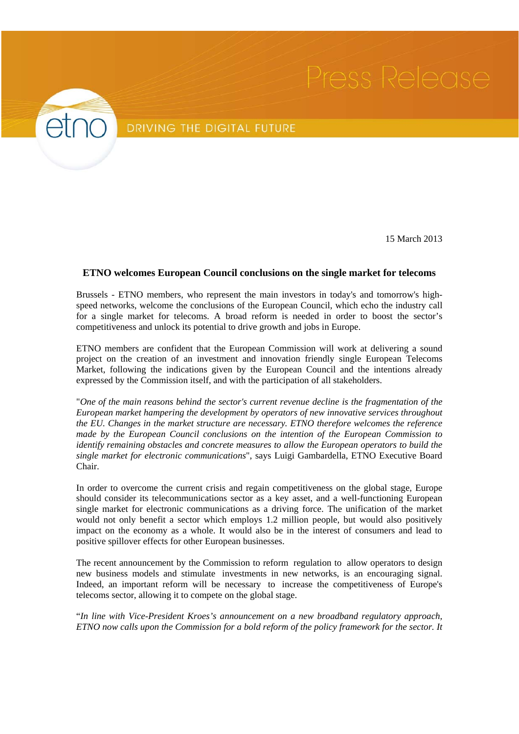

## DRIVING THE DIGITAL FUTURE

15 March 2013

## **ETNO welcomes European Council conclusions on the single market for telecoms**

Brussels - ETNO members, who represent the main investors in today's and tomorrow's highspeed networks, welcome the conclusions of the European Council, which echo the industry call for a single market for telecoms. A broad reform is needed in order to boost the sector's competitiveness and unlock its potential to drive growth and jobs in Europe.

ETNO members are confident that the European Commission will work at delivering a sound project on the creation of an investment and innovation friendly single European Telecoms Market, following the indications given by the European Council and the intentions already expressed by the Commission itself, and with the participation of all stakeholders.

"*One of the main reasons behind the sector's current revenue decline is the fragmentation of the European market hampering the development by operators of new innovative services throughout the EU. Changes in the market structure are necessary. ETNO therefore welcomes the reference made by the European Council conclusions on the intention of the European Commission to identify remaining obstacles and concrete measures to allow the European operators to build the single market for electronic communications*", says Luigi Gambardella, ETNO Executive Board Chair.

In order to overcome the current crisis and regain competitiveness on the global stage, Europe should consider its telecommunications sector as a key asset, and a well-functioning European single market for electronic communications as a driving force. The unification of the market would not only benefit a sector which employs 1.2 million people, but would also positively impact on the economy as a whole. It would also be in the interest of consumers and lead to positive spillover effects for other European businesses.

The recent announcement by the Commission to reform regulation to allow operators to design new business models and stimulate investments in new networks, is an encouraging signal. Indeed, an important reform will be necessary to increase the competitiveness of Europe's telecoms sector, allowing it to compete on the global stage.

"*In line with Vice-President Kroes's announcement on a new broadband regulatory approach, ETNO now calls upon the Commission for a bold reform of the policy framework for the sector. It*